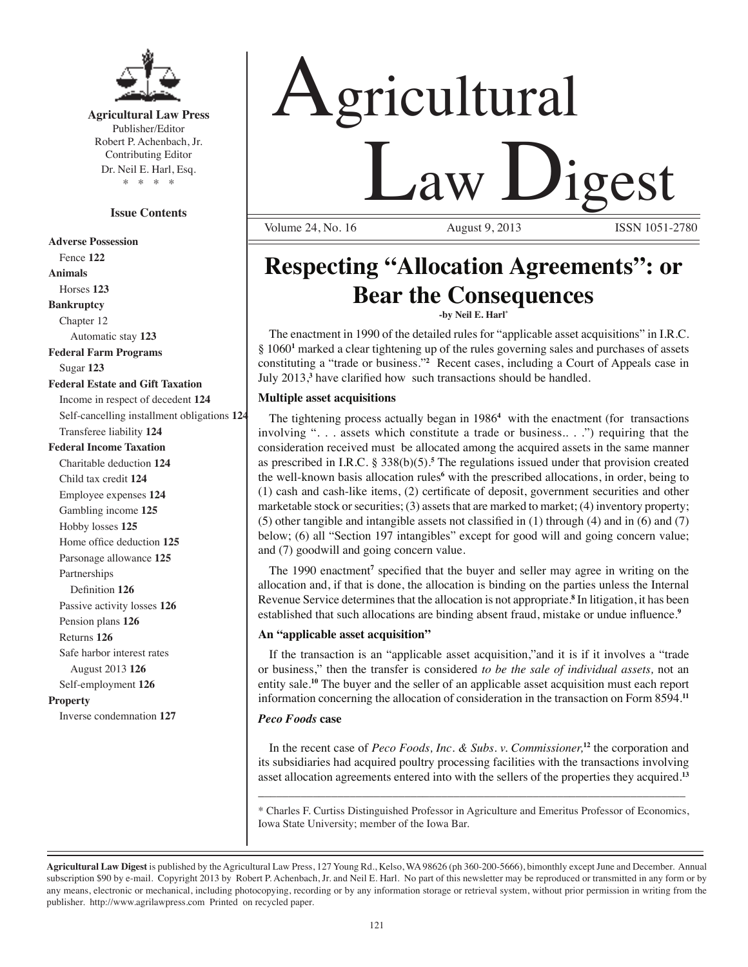

**Agricultural Law Press** Publisher/Editor Robert P. Achenbach, Jr. Contributing Editor Dr. Neil E. Harl, Esq. \* \* \* \*

#### **Issue Contents**

**Adverse Possession** Fence **122 Animals** Horses **123 Bankruptcy** Chapter 12 Automatic stay **123 Federal Farm Programs** Sugar **123 Federal Estate and Gift Taxation** Income in respect of decedent **124** Self-cancelling installment obligations **124** Transferee liability **124 Federal Income Taxation** Charitable deduction **124** Child tax credit **124** Employee expenses **124** Gambling income **125** Hobby losses **125** Home office deduction **125** Parsonage allowance **125** Partnerships Definition **126** Passive activity losses **126** Pension plans **126** Returns **126** Safe harbor interest rates August 2013 **126** Self-employment **126 Property** Inverse condemnation **127**

# Agricultural <u>Law Digest</u>

Volume 24, No. 16

## **Respecting "Allocation Agreements": or Bear the Consequences**

**-by Neil E. Harl\*** 

The enactment in 1990 of the detailed rules for "applicable asset acquisitions" in I.R.C. § 1060<sup>1</sup> marked a clear tightening up of the rules governing sales and purchases of assets constituting a "trade or business."**<sup>2</sup>** Recent cases, including a Court of Appeals case in July 2013,**<sup>3</sup>** have clarified how such transactions should be handled.

#### **Multiple asset acquisitions**

The tightening process actually began in 1986**<sup>4</sup>** with the enactment (for transactions involving ". . . assets which constitute a trade or business.. . .") requiring that the consideration received must be allocated among the acquired assets in the same manner as prescribed in I.R.C. § 338(b)(5).**<sup>5</sup>** The regulations issued under that provision created the well-known basis allocation rules<sup>6</sup> with the prescribed allocations, in order, being to (1) cash and cash-like items, (2) certificate of deposit, government securities and other marketable stock or securities; (3) assets that are marked to market; (4) inventory property; (5) other tangible and intangible assets not classified in (1) through (4) and in (6) and (7) below; (6) all "Section 197 intangibles" except for good will and going concern value; and (7) goodwill and going concern value.

The 1990 enactment**<sup>7</sup>** specified that the buyer and seller may agree in writing on the allocation and, if that is done, the allocation is binding on the parties unless the Internal Revenue Service determines that the allocation is not appropriate.**<sup>8</sup>** In litigation, it has been established that such allocations are binding absent fraud, mistake or undue influence.<sup>9</sup>

#### **An "applicable asset acquisition"**

If the transaction is an "applicable asset acquisition,"and it is if it involves a "trade or business," then the transfer is considered *to be the sale of individual assets,* not an entity sale.**<sup>10</sup>** The buyer and the seller of an applicable asset acquisition must each report information concerning the allocation of consideration in the transaction on Form 8594.**<sup>11</sup>**

#### *Peco Foods* **case**

In the recent case of *Peco Foods, Inc. & Subs. v. Commissioner,***<sup>12</sup>** the corporation and its subsidiaries had acquired poultry processing facilities with the transactions involving asset allocation agreements entered into with the sellers of the properties they acquired.**<sup>13</sup>**

\_\_\_\_\_\_\_\_\_\_\_\_\_\_\_\_\_\_\_\_\_\_\_\_\_\_\_\_\_\_\_\_\_\_\_\_\_\_\_\_\_\_\_\_\_\_\_\_\_\_\_\_\_\_\_\_\_\_\_\_\_\_\_\_\_\_\_\_\_\_

\* Charles F. Curtiss Distinguished Professor in Agriculture and Emeritus Professor of Economics, Iowa State University; member of the Iowa Bar.

**Agricultural Law Digest** is published by the Agricultural Law Press, 127 Young Rd., Kelso, WA 98626 (ph 360-200-5666), bimonthly except June and December. Annual subscription \$90 by e-mail. Copyright 2013 by Robert P. Achenbach, Jr. and Neil E. Harl. No part of this newsletter may be reproduced or transmitted in any form or by any means, electronic or mechanical, including photocopying, recording or by any information storage or retrieval system, without prior permission in writing from the publisher. http://www.agrilawpress.com Printed on recycled paper.